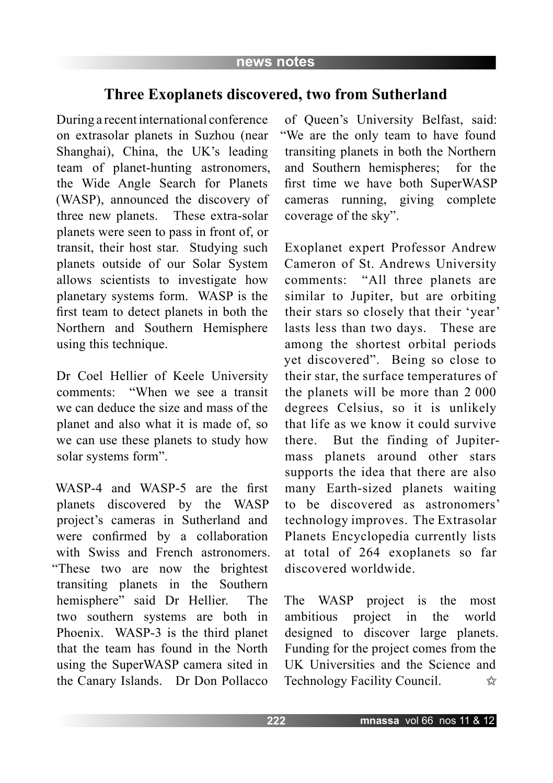## **Three Exoplanets discovered, two from Sutherland**

During a recent international conference on extrasolar planets in Suzhou (near Shanghai), China, the UK's leading team of planet-hunting astronomers, the Wide Angle Search for Planets (WASP), announced the discovery of three new planets. These extra-solar planets were seen to pass in front of, or transit, their host star. Studying such planets outside of our Solar System allows scientists to investigate how planetary systems form. WASP is the first team to detect planets in both the Northern and Southern Hemisphere using this technique.

Dr Coel Hellier of Keele University comments: "When we see a transit we can deduce the size and mass of the planet and also what it is made of, so we can use these planets to study how solar systems form".

WASP-4 and WASP-5 are the first planets discovered by the WASP project's cameras in Sutherland and were confirmed by a collaboration with Swiss and French astronomers. "These two are now the brightest transiting planets in the Southern hemisphere" said Dr Hellier. The two southern systems are both in Phoenix. WASP-3 is the third planet that the team has found in the North using the SuperWASP camera sited in the Canary Islands. Dr Don Pollacco

of Queen's University Belfast, said: "We are the only team to have found transiting planets in both the Northern and Southern hemispheres; for the first time we have both SuperWASP cameras running, giving complete coverage of the sky".

Exoplanet expert Professor Andrew Cameron of St. Andrews University comments: "All three planets are similar to Jupiter, but are orbiting their stars so closely that their 'year' lasts less than two days. These are among the shortest orbital periods yet discovered". Being so close to their star, the surface temperatures of the planets will be more than 2 000 degrees Celsius, so it is unlikely that life as we know it could survive there. But the finding of Jupitermass planets around other stars supports the idea that there are also many Earth-sized planets waiting to be discovered as astronomers' technology improves. The Extrasolar Planets Encyclopedia currently lists at total of 264 exoplanets so far discovered worldwide.

The WASP project is the most ambitious project in the world designed to discover large planets. Funding for the project comes from the UK Universities and the Science and Technology Facility Council.  $\frac{1}{2}$